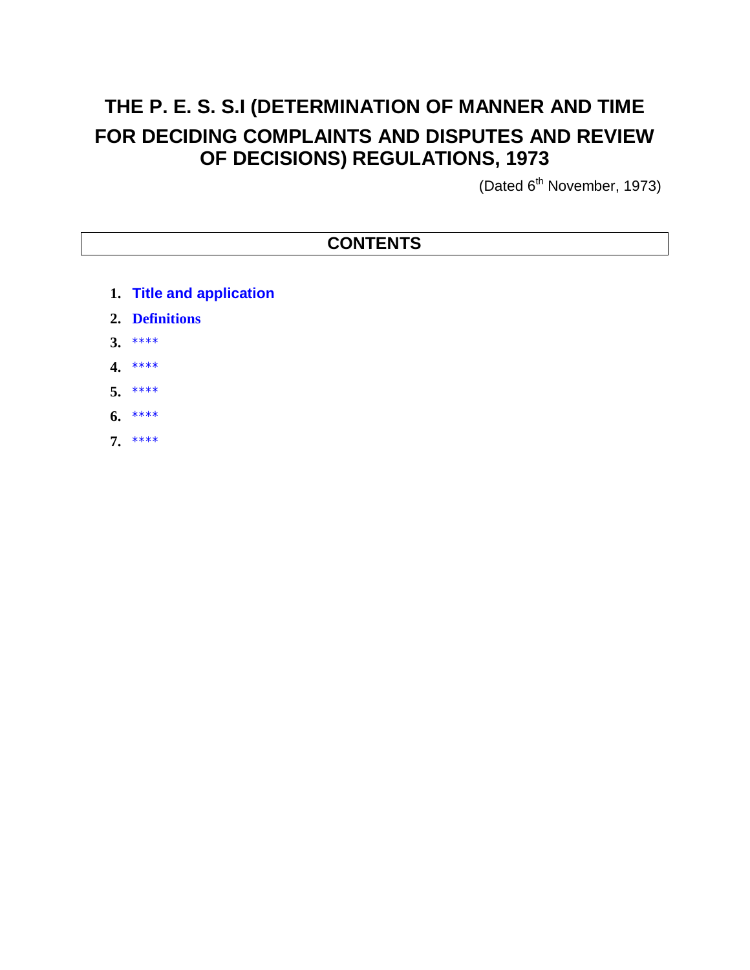## **THE P. E. S. S.I (DETERMINATION OF MANNER AND TIME FOR DECIDING COMPLAINTS AND DISPUTES AND REVIEW OF DECISIONS) REGULATIONS, 1973**

(Dated 6<sup>th</sup> November, 1973)

## **CONTENTS**

- **1. Title and application**
- **2. Definitions**
- **3.** \*\*\*\*
- **4.** \*\*\*\*
- **5.** \*\*\*\*
- **6.** \*\*\*\*
- **7.** \*\*\*\*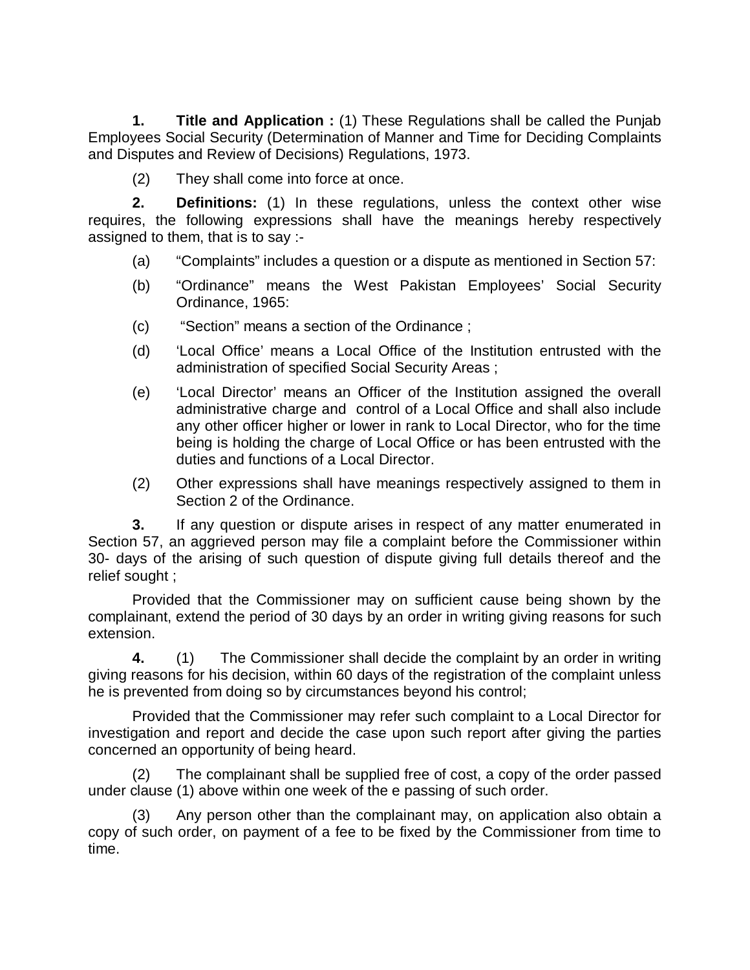**1. Title and Application :** (1) These Regulations shall be called the Punjab Employees Social Security (Determination of Manner and Time for Deciding Complaints and Disputes and Review of Decisions) Regulations, 1973.

(2) They shall come into force at once.

**2. Definitions:** (1) In these regulations, unless the context other wise requires, the following expressions shall have the meanings hereby respectively assigned to them, that is to say :-

- (a) "Complaints" includes a question or a dispute as mentioned in Section 57:
- (b) "Ordinance" means the West Pakistan Employees' Social Security Ordinance, 1965:
- (c) "Section" means a section of the Ordinance ;
- (d) 'Local Office' means a Local Office of the Institution entrusted with the administration of specified Social Security Areas ;
- (e) 'Local Director' means an Officer of the Institution assigned the overall administrative charge and control of a Local Office and shall also include any other officer higher or lower in rank to Local Director, who for the time being is holding the charge of Local Office or has been entrusted with the duties and functions of a Local Director.
- (2) Other expressions shall have meanings respectively assigned to them in Section 2 of the Ordinance.

**3.** If any question or dispute arises in respect of any matter enumerated in Section 57, an aggrieved person may file a complaint before the Commissioner within 30- days of the arising of such question of dispute giving full details thereof and the relief sought ;

Provided that the Commissioner may on sufficient cause being shown by the complainant, extend the period of 30 days by an order in writing giving reasons for such extension.

**4.** (1) The Commissioner shall decide the complaint by an order in writing giving reasons for his decision, within 60 days of the registration of the complaint unless he is prevented from doing so by circumstances beyond his control;

Provided that the Commissioner may refer such complaint to a Local Director for investigation and report and decide the case upon such report after giving the parties concerned an opportunity of being heard.

(2) The complainant shall be supplied free of cost, a copy of the order passed under clause (1) above within one week of the e passing of such order.

(3) Any person other than the complainant may, on application also obtain a copy of such order, on payment of a fee to be fixed by the Commissioner from time to time.